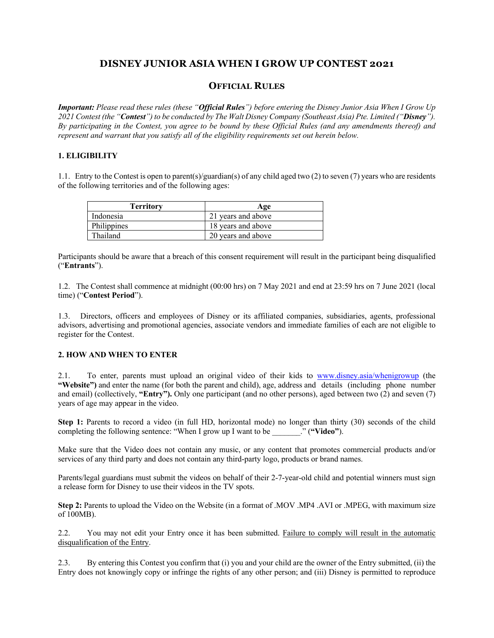# **DISNEY JUNIOR ASIA WHEN I GROW UP CONTEST 2021**

## **OFFICIAL RULES**

*Important: Please read these rules (these "Official Rules") before entering the Disney Junior Asia When I Grow Up 2021 Contest (the "Contest") to be conducted by The Walt Disney Company (Southeast Asia) Pte. Limited ("Disney"). By participating in the Contest, you agree to be bound by these Official Rules (and any amendments thereof) and represent and warrant that you satisfy all of the eligibility requirements set out herein below.*

## **1. ELIGIBILITY**

1.1. Entry to the Contest is open to parent(s)/guardian(s) of any child aged two (2) to seven (7) years who are residents of the following territories and of the following ages:

| Territorv   | Age                |
|-------------|--------------------|
| Indonesia   | 21 years and above |
| Philippines | 18 years and above |
| Thailand    | 20 years and above |

Participants should be aware that a breach of this consent requirement will result in the participant being disqualified ("**Entrants**").

1.2. The Contest shall commence at midnight (00:00 hrs) on 7 May 2021 and end at 23:59 hrs on 7 June 2021 (local time) ("**Contest Period**").

1.3. Directors, officers and employees of Disney or its affiliated companies, subsidiaries, agents, professional advisors, advertising and promotional agencies, associate vendors and immediate families of each are not eligible to register for the Contest.

#### **2. HOW AND WHEN TO ENTER**

2.1. To enter, parents must upload an original video of their kids to www.disney.asia/whenigrowup (the **"Website")** and enter the name (for both the parent and child), age, address and details (including phone number and email) (collectively, **"Entry").** Only one participant (and no other persons), aged between two (2) and seven (7) years of age may appear in the video.

**Step 1:** Parents to record a video (in full HD, horizontal mode) no longer than thirty (30) seconds of the child completing the following sentence: "When I grow up I want to be \_\_\_\_\_\_\_." (**"Video"**).

Make sure that the Video does not contain any music, or any content that promotes commercial products and/or services of any third party and does not contain any third-party logo, products or brand names.

Parents/legal guardians must submit the videos on behalf of their 2-7-year-old child and potential winners must sign a release form for Disney to use their videos in the TV spots.

**Step 2:** Parents to upload the Video on the Website (in a format of .MOV .MP4 .AVI or .MPEG, with maximum size of 100MB).

2.2. You may not edit your Entry once it has been submitted. Failure to comply will result in the automatic disqualification of the Entry.

2.3. By entering this Contest you confirm that (i) you and your child are the owner of the Entry submitted, (ii) the Entry does not knowingly copy or infringe the rights of any other person; and (iii) Disney is permitted to reproduce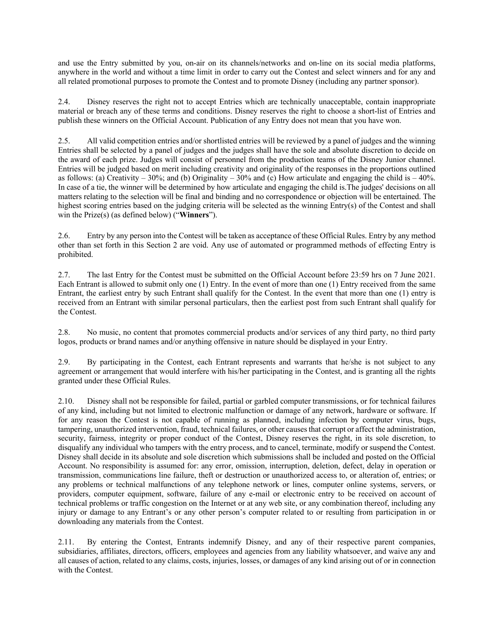and use the Entry submitted by you, on-air on its channels/networks and on-line on its social media platforms, anywhere in the world and without a time limit in order to carry out the Contest and select winners and for any and all related promotional purposes to promote the Contest and to promote Disney (including any partner sponsor).

2.4. Disney reserves the right not to accept Entries which are technically unacceptable, contain inappropriate material or breach any of these terms and conditions. Disney reserves the right to choose a short-list of Entries and publish these winners on the Official Account. Publication of any Entry does not mean that you have won.

2.5. All valid competition entries and/or shortlisted entries will be reviewed by a panel of judges and the winning Entries shall be selected by a panel of judges and the judges shall have the sole and absolute discretion to decide on the award of each prize. Judges will consist of personnel from the production teams of the Disney Junior channel. Entries will be judged based on merit including creativity and originality of the responses in the proportions outlined as follows: (a) Creativity – 30%; and (b) Originality – 30% and (c) How articulate and engaging the child is – 40%. In case of a tie, the winner will be determined by how articulate and engaging the child is.The judges' decisions on all matters relating to the selection will be final and binding and no correspondence or objection will be entertained. The highest scoring entries based on the judging criteria will be selected as the winning Entry(s) of the Contest and shall win the Prize(s) (as defined below) ("**Winners**").

2.6. Entry by any person into the Contest will be taken as acceptance of these Official Rules. Entry by any method other than set forth in this Section 2 are void. Any use of automated or programmed methods of effecting Entry is prohibited.

2.7. The last Entry for the Contest must be submitted on the Official Account before 23:59 hrs on 7 June 2021. Each Entrant is allowed to submit only one (1) Entry. In the event of more than one (1) Entry received from the same Entrant, the earliest entry by such Entrant shall qualify for the Contest. In the event that more than one (1) entry is received from an Entrant with similar personal particulars, then the earliest post from such Entrant shall qualify for the Contest.

2.8. No music, no content that promotes commercial products and/or services of any third party, no third party logos, products or brand names and/or anything offensive in nature should be displayed in your Entry.

2.9. By participating in the Contest, each Entrant represents and warrants that he/she is not subject to any agreement or arrangement that would interfere with his/her participating in the Contest, and is granting all the rights granted under these Official Rules.

2.10. Disney shall not be responsible for failed, partial or garbled computer transmissions, or for technical failures of any kind, including but not limited to electronic malfunction or damage of any network, hardware or software. If for any reason the Contest is not capable of running as planned, including infection by computer virus, bugs, tampering, unauthorized intervention, fraud, technical failures, or other causes that corrupt or affect the administration, security, fairness, integrity or proper conduct of the Contest, Disney reserves the right, in its sole discretion, to disqualify any individual who tampers with the entry process, and to cancel, terminate, modify or suspend the Contest. Disney shall decide in its absolute and sole discretion which submissions shall be included and posted on the Official Account. No responsibility is assumed for: any error, omission, interruption, deletion, defect, delay in operation or transmission, communications line failure, theft or destruction or unauthorized access to, or alteration of, entries; or any problems or technical malfunctions of any telephone network or lines, computer online systems, servers, or providers, computer equipment, software, failure of any e-mail or electronic entry to be received on account of technical problems or traffic congestion on the Internet or at any web site, or any combination thereof, including any injury or damage to any Entrant's or any other person's computer related to or resulting from participation in or downloading any materials from the Contest.

2.11. By entering the Contest, Entrants indemnify Disney, and any of their respective parent companies, subsidiaries, affiliates, directors, officers, employees and agencies from any liability whatsoever, and waive any and all causes of action, related to any claims, costs, injuries, losses, or damages of any kind arising out of or in connection with the Contest.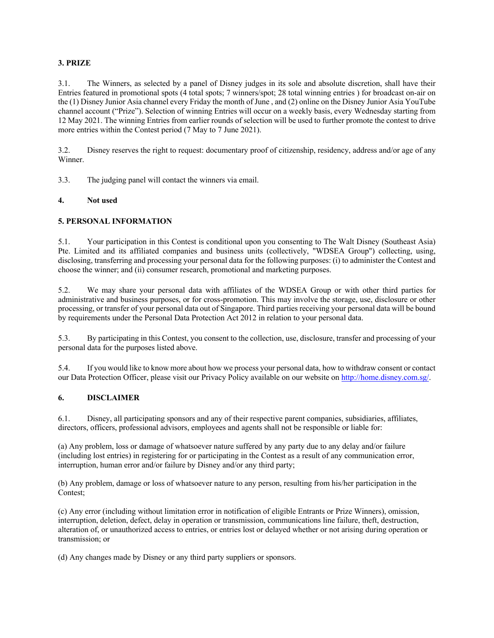## **3. PRIZE**

3.1. The Winners, as selected by a panel of Disney judges in its sole and absolute discretion, shall have their Entries featured in promotional spots (4 total spots; 7 winners/spot; 28 total winning entries ) for broadcast on-air on the (1) Disney Junior Asia channel every Friday the month of June , and (2) online on the Disney Junior Asia YouTube channel account ("Prize"). Selection of winning Entries will occur on a weekly basis, every Wednesday starting from 12 May 2021. The winning Entries from earlier rounds of selection will be used to further promote the contest to drive more entries within the Contest period (7 May to 7 June 2021).

3.2. Disney reserves the right to request: documentary proof of citizenship, residency, address and/or age of any Winner.

3.3. The judging panel will contact the winners via email.

#### **4. Not used**

## **5. PERSONAL INFORMATION**

5.1. Your participation in this Contest is conditional upon you consenting to The Walt Disney (Southeast Asia) Pte. Limited and its affiliated companies and business units (collectively, "WDSEA Group") collecting, using, disclosing, transferring and processing your personal data for the following purposes: (i) to administer the Contest and choose the winner; and (ii) consumer research, promotional and marketing purposes.

5.2. We may share your personal data with affiliates of the WDSEA Group or with other third parties for administrative and business purposes, or for cross-promotion. This may involve the storage, use, disclosure or other processing, or transfer of your personal data out of Singapore. Third parties receiving your personal data will be bound by requirements under the Personal Data Protection Act 2012 in relation to your personal data.

5.3. By participating in this Contest, you consent to the collection, use, disclosure, transfer and processing of your personal data for the purposes listed above.

5.4. If you would like to know more about how we process your personal data, how to withdraw consent or contact our Data Protection Officer, please visit our Privacy Policy available on our website on http://home.disney.com.sg/.

### **6. DISCLAIMER**

6.1. Disney, all participating sponsors and any of their respective parent companies, subsidiaries, affiliates, directors, officers, professional advisors, employees and agents shall not be responsible or liable for:

(a) Any problem, loss or damage of whatsoever nature suffered by any party due to any delay and/or failure (including lost entries) in registering for or participating in the Contest as a result of any communication error, interruption, human error and/or failure by Disney and/or any third party;

(b) Any problem, damage or loss of whatsoever nature to any person, resulting from his/her participation in the Contest;

(c) Any error (including without limitation error in notification of eligible Entrants or Prize Winners), omission, interruption, deletion, defect, delay in operation or transmission, communications line failure, theft, destruction, alteration of, or unauthorized access to entries, or entries lost or delayed whether or not arising during operation or transmission; or

(d) Any changes made by Disney or any third party suppliers or sponsors.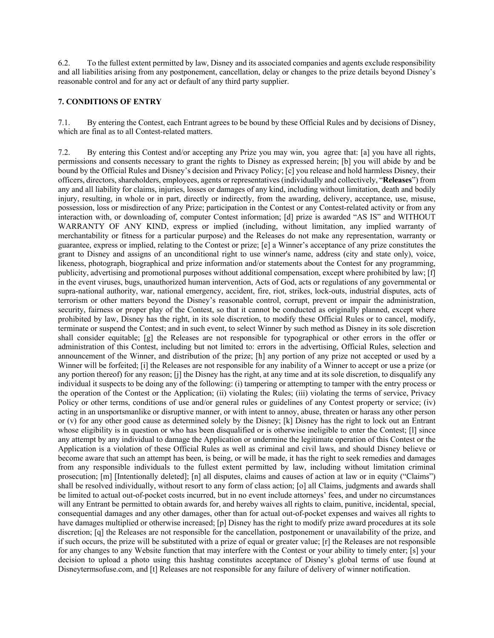6.2. To the fullest extent permitted by law, Disney and its associated companies and agents exclude responsibility and all liabilities arising from any postponement, cancellation, delay or changes to the prize details beyond Disney's reasonable control and for any act or default of any third party supplier.

## **7. CONDITIONS OF ENTRY**

7.1. By entering the Contest, each Entrant agrees to be bound by these Official Rules and by decisions of Disney, which are final as to all Contest-related matters.

7.2. By entering this Contest and/or accepting any Prize you may win, you agree that: [a] you have all rights, permissions and consents necessary to grant the rights to Disney as expressed herein; [b] you will abide by and be bound by the Official Rules and Disney's decision and Privacy Policy; [c] you release and hold harmless Disney, their officers, directors, shareholders, employees, agents or representatives (individually and collectively, "**Releases**") from any and all liability for claims, injuries, losses or damages of any kind, including without limitation, death and bodily injury, resulting, in whole or in part, directly or indirectly, from the awarding, delivery, acceptance, use, misuse, possession, loss or misdirection of any Prize; participation in the Contest or any Contest-related activity or from any interaction with, or downloading of, computer Contest information; [d] prize is awarded "AS IS" and WITHOUT WARRANTY OF ANY KIND, express or implied (including, without limitation, any implied warranty of merchantability or fitness for a particular purpose) and the Releases do not make any representation, warranty or guarantee, express or implied, relating to the Contest or prize; [e] a Winner's acceptance of any prize constitutes the grant to Disney and assigns of an unconditional right to use winner's name, address (city and state only), voice, likeness, photograph, biographical and prize information and/or statements about the Contest for any programming, publicity, advertising and promotional purposes without additional compensation, except where prohibited by law; [f] in the event viruses, bugs, unauthorized human intervention, Acts of God, acts or regulations of any governmental or supra-national authority, war, national emergency, accident, fire, riot, strikes, lock-outs, industrial disputes, acts of terrorism or other matters beyond the Disney's reasonable control, corrupt, prevent or impair the administration, security, fairness or proper play of the Contest, so that it cannot be conducted as originally planned, except where prohibited by law, Disney has the right, in its sole discretion, to modify these Official Rules or to cancel, modify, terminate or suspend the Contest; and in such event, to select Winner by such method as Disney in its sole discretion shall consider equitable; [g] the Releases are not responsible for typographical or other errors in the offer or administration of this Contest, including but not limited to: errors in the advertising, Official Rules, selection and announcement of the Winner, and distribution of the prize; [h] any portion of any prize not accepted or used by a Winner will be forfeited; [i] the Releases are not responsible for any inability of a Winner to accept or use a prize (or any portion thereof) for any reason; [j] the Disney has the right, at any time and at its sole discretion, to disqualify any individual it suspects to be doing any of the following: (i) tampering or attempting to tamper with the entry process or the operation of the Contest or the Application; (ii) violating the Rules; (iii) violating the terms of service, Privacy Policy or other terms, conditions of use and/or general rules or guidelines of any Contest property or service; (iv) acting in an unsportsmanlike or disruptive manner, or with intent to annoy, abuse, threaten or harass any other person or (v) for any other good cause as determined solely by the Disney; [k] Disney has the right to lock out an Entrant whose eligibility is in question or who has been disqualified or is otherwise ineligible to enter the Contest; [1] since any attempt by any individual to damage the Application or undermine the legitimate operation of this Contest or the Application is a violation of these Official Rules as well as criminal and civil laws, and should Disney believe or become aware that such an attempt has been, is being, or will be made, it has the right to seek remedies and damages from any responsible individuals to the fullest extent permitted by law, including without limitation criminal prosecution; [m] [Intentionally deleted]; [n] all disputes, claims and causes of action at law or in equity ("Claims") shall be resolved individually, without resort to any form of class action; [o] all Claims, judgments and awards shall be limited to actual out-of-pocket costs incurred, but in no event include attorneys' fees, and under no circumstances will any Entrant be permitted to obtain awards for, and hereby waives all rights to claim, punitive, incidental, special, consequential damages and any other damages, other than for actual out-of-pocket expenses and waives all rights to have damages multiplied or otherwise increased; [p] Disney has the right to modify prize award procedures at its sole discretion; [q] the Releases are not responsible for the cancellation, postponement or unavailability of the prize, and if such occurs, the prize will be substituted with a prize of equal or greater value; [r] the Releases are not responsible for any changes to any Website function that may interfere with the Contest or your ability to timely enter; [s] your decision to upload a photo using this hashtag constitutes acceptance of Disney's global terms of use found at Disneytermsofuse.com, and [t] Releases are not responsible for any failure of delivery of winner notification.